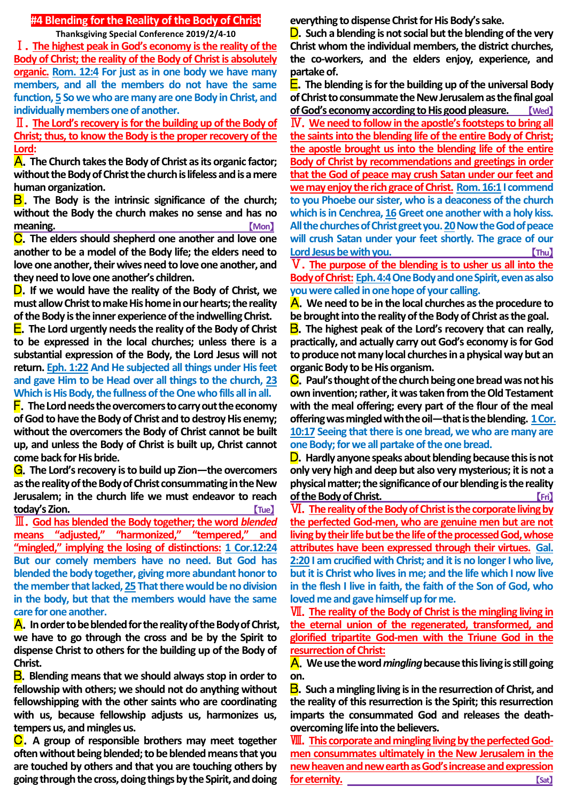## **#4 Blending for the Reality of the Body of Christ**

**Thanksgiving Special Conference 2019/2/4-10**

Ⅰ.**The highest peak in God's economy is the reality of the Body of Christ; the reality of the Body of Christ is absolutely organic. Rom. 12:4 For just as in one body we have many members, and all the members do not have the same function, 5 So we who are many are one Body in Christ, and individually members one of another.**

Ⅱ.**The Lord's recovery is for the building up of the Body of Christ; thus, to know the Body is the proper recovery of the Lord:**

A.**The Church takes the Body of Christ as its organic factor; without the Body of Christ the church is lifeless and is a mere human organization.**

B.**The Body is the intrinsic significance of the church; without the Body the church makes no sense and has no meaning.** [Mon]

C.**The elders should shepherd one another and love one another to be a model of the Body life; the elders need to love one another, their wives need to love one another, and they need to love one another's children.**

D.**If we would have the reality of the Body of Christ, we must allow Christ to make His home in our hearts; the reality of the Body is the inner experience of the indwelling Christ.**

E.**The Lord urgently needs the reality of the Body of Christ to be expressed in the local churches; unless there is a substantial expression of the Body, the Lord Jesus will not return. Eph. 1:22 And He subjected all things under His feet and gave Him to be Head over all things to the church, 23 Which is His Body, the fullness of the One who fills all in all.**

F.**The Lord needs the overcomers to carry out the economy of God to have the Body of Christ and to destroy His enemy; without the overcomers the Body of Christ cannot be built up, and unless the Body of Christ is built up, Christ cannot come back for His bride.**

G.**The Lord's recovery is to build up Zion—the overcomers as the reality of the Body of Christ consummating in the New Jerusalem; in the church life we must endeavor to reach today's Zion.** [Tue]

Ⅲ.**God has blended the Body together; the word** *blended* **means "adjusted," "harmonized," "tempered," and "mingled," implying the losing of distinctions: 1 Cor.12:24 But our comely members have no need. But God has blended the body together, giving more abundant honor to the member that lacked, 25 That there would be no division in the body, but that the members would have the same care for one another.**

A.**In order to be blended for the reality of the Body of Christ, we have to go through the cross and be by the Spirit to dispense Christ to others for the building up of the Body of Christ.**

B.**Blending means that we should always stop in order to fellowship with others; we should not do anything without fellowshipping with the other saints who are coordinating with us, because fellowship adjusts us, harmonizes us, tempers us, and mingles us.**

C.**A group of responsible brothers may meet together often without being blended; to be blended means that you are touched by others and that you are touching others by going through the cross, doing things by the Spirit, and doing**  **everything to dispense Christ for His Body's sake.**

D.**Such a blending is not social but the blending of the very Christ whom the individual members, the district churches, the co-workers, and the elders enjoy, experience, and partake of.**

E.**The blending is for the building up of the universal Body of Christ to consummate the New Jerusalem as the final goal ofGod's economy according to His good pleasure.** 【**Wed**】 Ⅳ.**We need to follow in the apostle's footsteps to bring all the saints into the blending life of the entire Body of Christ; the apostle brought us into the blending life of the entire Body of Christ by recommendations and greetings in order that the God of peace may crush Satan under our feet and we may enjoy the rich grace of Christ. Rom. 16:1I commend to you Phoebe our sister, who is a deaconess of the church**  which is in Cenchrea, 16 Greet one another with a holy kiss. **All the churches of Christ greet you. 20Now the God of peace will crush Satan under your feet shortly. The grace of our Lord Jesus be with you. Lord Jesus be with you. Lord Jesus be with you.** Ⅴ.**The purpose of the blending is to usher us all into the** 

**Body of Christ: Eph. 4:4One Body and one Spirit, even as also you were called in one hope of your calling.**

A.**We need to be in the local churches as the procedure to be brought into the reality of the Body of Christ as the goal.**

B.**The highest peak of the Lord's recovery that can really, practically, and actually carry out God's economy is for God to produce not many local churches in a physical way but an organic Body to be His organism.**

C.**Paul's thought of the church being one bread was not his own invention; rather, it was taken from the Old Testament with the meal offering; every part of the flour of the meal offering was mingled with the oil—that is the blending. 1 Cor. 10:17 Seeing that there is one bread, we who are many are one Body; for we all partake of the one bread.**

D.**Hardly anyone speaks about blending because this is not only very high and deep but also very mysterious; it is not a physical matter; the significance of our blending is the reality of the Body of Christ. Contract of the Body of Christ.** 

Ⅵ.**The reality of the Body of Christ is the corporate living by the perfected God-men, who are genuine men but are not living by their life but be the life of the processed God, whose attributes have been expressed through their virtues. Gal. 2:20 I am crucified with Christ; and it is no longer I who live, but it is Christ who lives in me; and the life which I now live in the flesh I live in faith, the faith of the Son of God, who loved me and gave himself up for me.**

Ⅶ.**The reality of the Body of Christ is the mingling living in the eternal union of the regenerated, transformed, and glorified tripartite God-men with the Triune God in the resurrection of Christ:**

A.**We use the word** *mingling* **because this living is still going on.**

B.**Such a mingling living is in the resurrection of Christ, and the reality of this resurrection is the Spirit; this resurrection imparts the consummated God and releases the deathovercoming life into the believers.**

Ⅷ.**This corporate and mingling living by the perfected Godmen consummates ultimately in the New Jerusalem in the new heaven and new earth as God's increase and expression for eternity.** [Sat]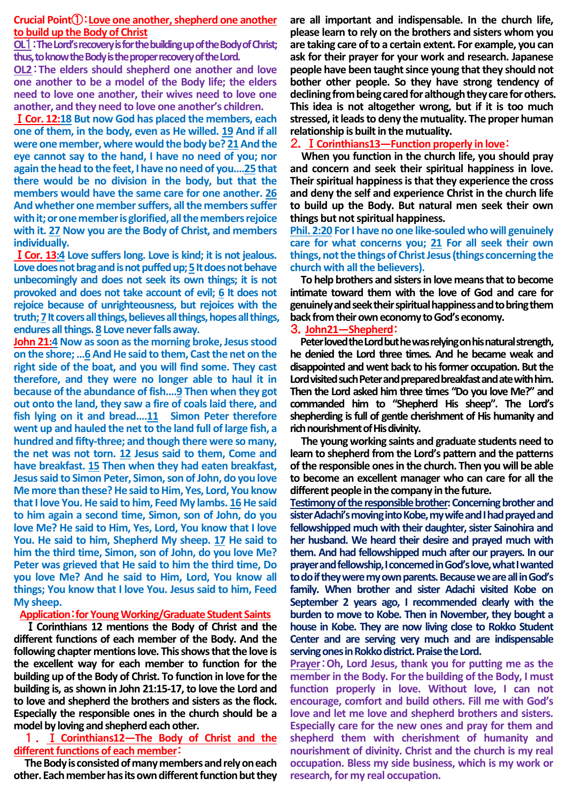## **Crucial Point**①:**Love one another, shepherd one another to build up the Body of Christ**

**OL**1:**The Lord's recovery is for the building up of the Body of Christ; thus, to know the Body is the proper recovery of the Lord.**

**OL2**:**The elders should shepherd one another and love one another to be a model of the Body life; the elders need to love one another, their wives need to love one another, and they need to love one another's children.**

Ⅰ**Cor. 12:18 But now God has placed the members, each one of them, in the body, even as He willed. 19 And if all were one member, where would the body be? 21And the eye cannot say to the hand, I have no need of you; nor again the head to the feet, I have no need of you.…25 that there would be no division in the body, but that the members would have the same care for one another. 26 And whether one member suffers, all the members suffer with it; or one member is glorified, all the members rejoice with it. 27 Now you are the Body of Christ, and members individually.**

Ⅰ**Cor. 13:4 Love suffers long. Love is kind; it is not jealous.**  Love does not brag and is not puffed up; 5 It does not behave **unbecomingly and does not seek its own things; it is not provoked and does not take account of evil; 6 It does not rejoice because of unrighteousness, but rejoices with the truth; 7It covers all things, believes all things, hopes all things, endures all things. 8 Love never falls away.**

**John 21:4 Now as soon as the morning broke, Jesus stood on the shore; …6 And He said to them, Cast the net on the right side of the boat, and you will find some. They cast therefore, and they were no longer able to haul it in because of the abundance of fish.…9 Then when they got out onto the land, they saw a fire of coals laid there, and fish lying on it and bread.…11 Simon Peter therefore went up and hauled the net to the land full of large fish, a hundred and fifty-three; and though there were so many, the net was not torn. 12 Jesus said to them, Come and have breakfast. 15 Then when they had eaten breakfast, Jesus said to Simon Peter, Simon, son of John, do you love Me more than these? He said to Him, Yes, Lord, You know that I love You. He said to him, Feed My lambs. 16He said to him again a second time, Simon, son of John, do you love Me? He said to Him, Yes, Lord, You know that I love You. He said to him, Shepherd My sheep. 17 He said to him the third time, Simon, son of John, do you love Me? Peter was grieved that He said to him the third time, Do you love Me? And he said to Him, Lord, You know all things; You know that I love You. Jesus said to him, Feed My sheep.**

#### **Application**:**for Young Working/Graduate Student Saints**

Ⅰ**Corinthians 12 mentions the Body of Christ and the different functions of each member of the Body. And the following chapter mentions love. This shows that the love is the excellent way for each member to function for the building up of the Body of Christ. To function in love for the building is, as shown in John 21:15-17, to love the Lord and to love and shepherd the brothers and sisters as the flock. Especially the responsible ones in the church should be a model by loving and shepherd each other.**

# 1 . Ⅰ **Corinthians12―The Body of Christ and the different functions of each member**:

**The Body is consisted of many members and rely on each other. Each member has its own different function but they** 

**are all important and indispensable. In the church life, please learn to rely on the brothers and sisters whom you are taking care of to a certain extent. For example, you can ask for their prayer for your work and research. Japanese people have been taught since young that they should not bother other people. So they have strong tendency of declining from being cared for although they care for others. This idea is not altogether wrong, but if it is too much stressed, it leads to deny the mutuality. The proper human relationship is built in the mutuality.**

# 2.Ⅰ**Corinthians13―Function properly in love**:

**When you function in the church life, you should pray and concern and seek their spiritual happiness in love. Their spiritual happiness is that they experience the cross and deny the self and experience Christ in the church life to build up the Body. But natural men seek their own things but not spiritual happiness.**

**Phil. 2:20 For I have no one like-souled who will genuinely care for what concerns you; 21 For all seek their own things, not the things of Christ Jesus (things concerning the church with all the believers).**

**To help brothers and sisters in love means that to become intimate toward them with the love of God and care for genuinely and seek their spiritual happiness and to bring them back from their own economy to God's economy.**

### 3.**John21―Shepherd**:

**Peter loved the Lord but he was relying on his natural strength, he denied the Lord three times. And he became weak and disappointed and went back to his former occupation. But the Lord visited such Peter and prepared breakfast and ate with him. Then the Lord asked him three times "Do you love Me?" and commanded him to "Shepherd His sheep". The Lord's shepherding is full of gentle cherishment of His humanity and rich nourishment of His divinity.**

**The young working saints and graduate students need to learn to shepherd from the Lord's pattern and the patterns of the responsible ones in the church. Then you will be able to become an excellent manager who can care for all the different people in the company in the future.**

**Testimony of the responsible brother: Concerning brother and sister Adachi's moving into Kobe, my wife and I had prayed and fellowshipped much with their daughter, sister Sainohira and her husband. We heard their desire and prayed much with them. And had fellowshipped much after our prayers. In our prayer and fellowship, I concerned in God's love, what I wanted to do if they were my own parents. Because we are all in God's family. When brother and sister Adachi visited Kobe on September 2 years ago, I recommended clearly with the burden to move to Kobe. Then in November, they bought a house in Kobe. They are now living close to Rokko Student Center and are serving very much and are indispensable serving ones in Rokko district. Praise the Lord.**

**Prayer**:**Oh, Lord Jesus, thank you for putting me as the member in the Body. For the building of the Body, I must function properly in love. Without love, I can not encourage, comfort and build others. Fill me with God's love and let me love and shepherd brothers and sisters. Especially care for the new ones and pray for them and shepherd them with cherishment of humanity and nourishment of divinity. Christ and the church is my real occupation. Bless my side business, which is my work or research, for my real occupation.**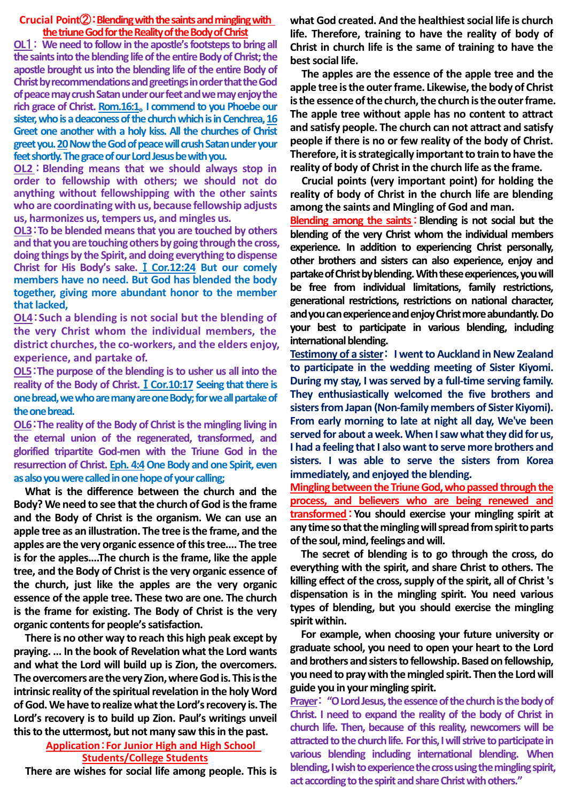#### **Crucial Point**②:**Blendingwith the saints and mingling with the triune God for the Reality of the Body of Christ**

**OL**1: **We need to follow in the apostle's footsteps to bring all the saints into the blending life of the entire Body of Christ; the apostle brought us into the blending life of the entire Body of Christ by recommendations and greetings in order that the God of peace may crush Satan under our feet and we may enjoy the rich grace of Christ. Rom.16:1**。**I commend to you Phoebe our sister, who is a deaconess of the church which is in Cenchrea, 16 Greet one another with a holy kiss. All the churches of Christ greet you.20Now the God of peace will crush Satan under your feet shortly. The grace of our Lord Jesus be with you.**

**OL2** : **Blending means that we should always stop in order to fellowship with others; we should not do anything without fellowshipping with the other saints who are coordinating with us, because fellowship adjusts us, harmonizes us, tempers us, and mingles us.**

**OL3**:**To be blended means that you are touched by others and that you are touching others by going through the cross, doing things by the Spirit, and doing everything to dispense Christ for His Body's sake.**Ⅰ**Cor.12:24 But our comely members have no need. But God has blended the body together, giving more abundant honor to the member that lacked,**

**OL4**:**Such a blending is not social but the blending of the very Christ whom the individual members, the district churches, the co-workers, and the elders enjoy, experience, and partake of.**

**OL5**:**The purpose of the blending is to usher us all into the reality of the Body of Christ.**Ⅰ**Cor.10:17 Seeing that there is one bread, we who are many are one Body; for we all partake of the one bread.**

**OL6**:**The reality of the Body of Christ is the mingling living in the eternal union of the regenerated, transformed, and glorified tripartite God-men with the Triune God in the resurrection of Christ. Eph. 4:4One Body and one Spirit, even as also you were called in one hope of your calling;**

**What is the difference between the church and the Body? We need to see that the church of God is the frame and the Body of Christ is the organism. We can use an apple tree as an illustration. The tree is the frame, and the apples are the very organic essence of this tree.... The tree is for the apples....The church is the frame, like the apple tree, and the Body of Christ is the very organic essence of the church, just like the apples are the very organic essence of the apple tree. These two are one. The church is the frame for existing. The Body of Christ is the very organic contents for people's satisfaction.**

**There is no other way to reach this high peak except by praying. ... In the book of Revelation what the Lord wants and what the Lord will build up is Zion, the overcomers. The overcomers are the very Zion, where God is. This is the intrinsic reality of the spiritual revelation in the holy Word of God. We have to realize what the Lord's recovery is. The Lord's recovery is to build up Zion. Paul's writings unveil this to the uttermost, but not many saw this in the past.**

> **Application**:**For Junior High and High School Students/College Students**

**There are wishes for social life among people. This is** 

**what God created. And the healthiest social life is church life. Therefore, training to have the reality of body of Christ in church life is the same of training to have the best social life.**

**The apples are the essence of the apple tree and the apple tree is the outer frame. Likewise, the body of Christ is the essence of the church, the church is the outer frame. The apple tree without apple has no content to attract and satisfy people. The church can not attract and satisfy people if there is no or few reality of the body of Christ. Therefore, it is strategically important to train to have the reality of body of Christ in the church life as the frame.**

**Crucial points (very important point) for holding the reality of body of Christ in the church life are blending among the saints and Mingling of God and man.**

**Blending among the saints**:**Blending is not social but the blending of the very Christ whom the individual members experience. In addition to experiencing Christ personally, other brothers and sisters can also experience, enjoy and partake of Christ by blending.With these experiences,you will be free from individual limitations, family restrictions, generational restrictions, restrictions on national character, and you can experience and enjoy Christ more abundantly.Do your best to participate in various blending, including international blending.**

**Testimony of a sister**: **I went to Auckland in New Zealand to participate in the wedding meeting of Sister Kiyomi. During my stay, I was served by a full-time serving family. They enthusiastically welcomed the five brothers and sisters from Japan (Non-family members of SisterKiyomi). From early morning to late at night all day, We've been served for about a week. When I saw what they did for us, I had a feeling that I also want to serve more brothers and sisters. I was able to serve the sisters from Korea immediately, and enjoyed the blending.**

**Mingling between the Triune God, who passed through the process, and believers who are being renewed and transformed**:**You should exercise your mingling spirit at any time so that the mingling will spread from spirit to parts of the soul, mind, feelings and will.**

**The secret of blending is to go through the cross, do everything with the spirit, and share Christ to others. The killing effect of the cross, supply of the spirit, all of Christ 's dispensation is in the mingling spirit. You need various types of blending, but you should exercise the mingling spirit within.**

**For example, when choosing your future university or graduate school, you need to open your heart to the Lord and brothers and sisters to fellowship.Based on fellowship, you need to pray with the mingled spirit.Then the Lord will guide you in your mingling spirit.**

**Prayer**: **"O Lord Jesus, the essence of the church is the body of Christ. I need to expand the reality of the body of Christ in church life. Then, because of this reality, newcomers will be attracted to the church life. For this, I will strive to participate in various blending including international blending. When blending, I wish to experience the cross using theminglingspirit,**  act according to the spirit and share Christ with others."